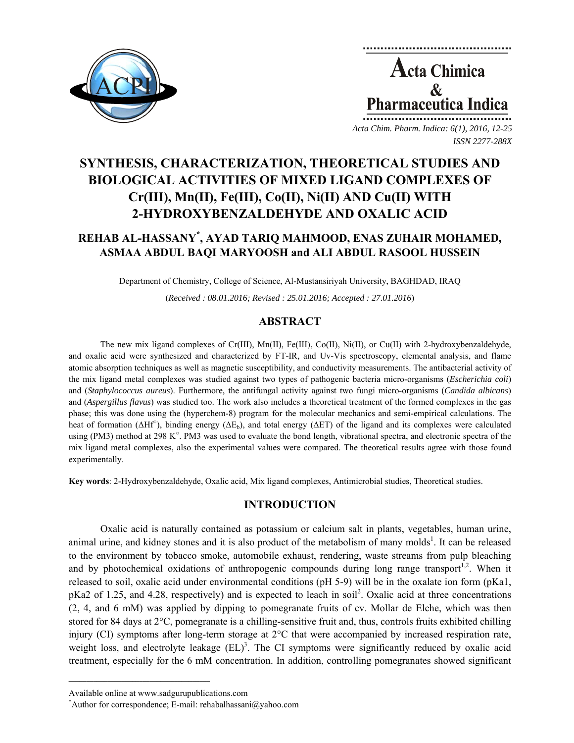

**Acta Chimica**  $\mathbf{\&}$ **Pharmaceutica Indica** *Acta Chim. Pharm. Indica: 6(1), 2016, 12-25*

*ISSN 2277-288X*

**SYNTHESIS, CHARACTERIZATION, THEORETICAL STUDIES AND BIOLOGICAL ACTIVITIES OF MIXED LIGAND COMPLEXES OF Cr(III), Mn(II), Fe(III), Co(II), Ni(II) AND Cu(II) WITH 2-HYDROXYBENZALDEHYDE AND OXALIC ACID** 

# **REHAB AL-HASSANY\* , AYAD TARIQ MAHMOOD, ENAS ZUHAIR MOHAMED, ASMAA ABDUL BAQI MARYOOSH and ALI ABDUL RASOOL HUSSEIN**

Department of Chemistry, College of Science, Al-Mustansiriyah University, BAGHDAD, IRAQ

(*Received : 08.01.2016; Revised : 25.01.2016; Accepted : 27.01.2016*)

# **ABSTRACT**

The new mix ligand complexes of Cr(III), Mn(II), Fe(III), Co(II), Ni(II), or Cu(II) with 2-hydroxybenzaldehyde, and oxalic acid were synthesized and characterized by FT-IR, and Uv-Vis spectroscopy, elemental analysis, and flame atomic absorption techniques as well as magnetic susceptibility, and conductivity measurements. The antibacterial activity of the mix ligand metal complexes was studied against two types of pathogenic bacteria micro-organisms (*Escherichia coli*) and (*Staphylococcus aureus*). Furthermore, the antifungal activity against two fungi micro-organisms (*Candida albicans*) and (*Aspergillus flavus*) was studied too. The work also includes a theoretical treatment of the formed complexes in the gas phase; this was done using the (hyperchem-8) program for the molecular mechanics and semi-empirical calculations. The heat of formation ( $\Delta Hf^{\circ}$ ), binding energy ( $\Delta E_b$ ), and total energy ( $\Delta ET$ ) of the ligand and its complexes were calculated using (PM3) method at 298  $K^{\circ}$ . PM3 was used to evaluate the bond length, vibrational spectra, and electronic spectra of the mix ligand metal complexes, also the experimental values were compared. The theoretical results agree with those found experimentally.

**Key words**: 2-Hydroxybenzaldehyde, Oxalic acid, Mix ligand complexes, Antimicrobial studies, Theoretical studies.

# **INTRODUCTION**

Oxalic acid is naturally contained as potassium or calcium salt in plants, vegetables, human urine, animal urine, and kidney stones and it is also product of the metabolism of many molds<sup>1</sup>. It can be released to the environment by tobacco smoke, automobile exhaust, rendering, waste streams from pulp bleaching and by photochemical oxidations of anthropogenic compounds during long range transport<sup>1,2</sup>. When it released to soil, oxalic acid under environmental conditions (pH 5-9) will be in the oxalate ion form (pKa1, pKa2 of 1.25, and 4.28, respectively) and is expected to leach in soil<sup>2</sup>. Oxalic acid at three concentrations (2, 4, and 6 mM) was applied by dipping to pomegranate fruits of cv. Mollar de Elche, which was then stored for 84 days at 2°C, pomegranate is a chilling-sensitive fruit and, thus, controls fruits exhibited chilling injury (CI) symptoms after long-term storage at 2°C that were accompanied by increased respiration rate, weight loss, and electrolyte leakage  $(EL)^3$ . The CI symptoms were significantly reduced by oxalic acid treatment, especially for the 6 mM concentration. In addition, controlling pomegranates showed significant

 $\mathcal{L} = \{ \mathcal{L} \}$ 

Available online at www.sadgurupublications.com \*

<sup>\*</sup>Author for correspondence; E-mail: rehabalhassani@yahoo.com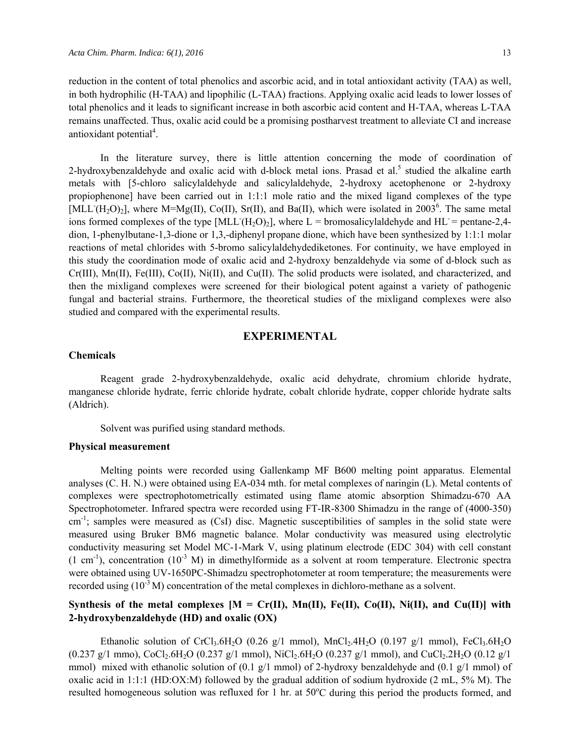reduction in the content of total phenolics and ascorbic acid, and in total antioxidant activity (TAA) as well, in both hydrophilic (H-TAA) and lipophilic (L-TAA) fractions. Applying oxalic acid leads to lower losses of total phenolics and it leads to significant increase in both ascorbic acid content and H-TAA, whereas L-TAA remains unaffected. Thus, oxalic acid could be a promising postharvest treatment to alleviate CI and increase antioxidant potential<sup>4</sup>.

In the literature survey, there is little attention concerning the mode of coordination of 2-hydroxybenzaldehyde and oxalic acid with d-block metal ions. Prasad et al.<sup>5</sup> studied the alkaline earth metals with [5-chloro salicylaldehyde and salicylaldehyde, 2-hydroxy acetophenone or 2-hydroxy propiophenone] have been carried out in 1:1:1 mole ratio and the mixed ligand complexes of the type  $[MLL(H<sub>2</sub>O)<sub>2</sub>]$ , where M=Mg(II), Co(II), Sr(II), and Ba(II), which were isolated in 2003<sup>6</sup>. The same metal ions formed complexes of the type  $[MLL(H_2O)_2]$ , where L = bromosalicylaldehyde and HL = pentane-2,4dion, 1-phenylbutane-1,3-dione or 1,3,-diphenyl propane dione, which have been synthesized by 1:1:1 molar reactions of metal chlorides with 5-bromo salicylaldehydediketones. For continuity, we have employed in this study the coordination mode of oxalic acid and 2-hydroxy benzaldehyde via some of d-block such as Cr(III), Mn(II), Fe(III), Co(II), Ni(II), and Cu(II). The solid products were isolated, and characterized, and then the mixligand complexes were screened for their biological potent against a variety of pathogenic fungal and bacterial strains. Furthermore, the theoretical studies of the mixligand complexes were also studied and compared with the experimental results.

### **EXPERIMENTAL**

### **Chemicals**

Reagent grade 2-hydroxybenzaldehyde, oxalic acid dehydrate, chromium chloride hydrate, manganese chloride hydrate, ferric chloride hydrate, cobalt chloride hydrate, copper chloride hydrate salts (Aldrich).

Solvent was purified using standard methods.

### **Physical measurement**

Melting points were recorded using Gallenkamp MF B600 melting point apparatus. Elemental analyses (C. H. N.) were obtained using EA-034 mth. for metal complexes of naringin (L). Metal contents of complexes were spectrophotometrically estimated using flame atomic absorption Shimadzu-670 AA Spectrophotometer. Infrared spectra were recorded using FT-IR-8300 Shimadzu in the range of (4000-350)  $cm^{-1}$ ; samples were measured as (CsI) disc. Magnetic susceptibilities of samples in the solid state were measured using Bruker BM6 magnetic balance. Molar conductivity was measured using electrolytic conductivity measuring set Model MC-1-Mark V, using platinum electrode (EDC 304) with cell constant  $(1 \text{ cm}^{-1})$ , concentration  $(10^{-3} \text{ M})$  in dimethylformide as a solvent at room temperature. Electronic spectra were obtained using UV-1650PC-Shimadzu spectrophotometer at room temperature; the measurements were recorded using  $(10^{-3} M)$  concentration of the metal complexes in dichloro-methane as a solvent.

# Synthesis of the metal complexes  $[M = Cr(II), Mn(II), Fe(II), Co(II), Ni(II), and Cu(II)]$  with **2-hydroxybenzaldehyde (HD) and oxalic (OX)**

Ethanolic solution of CrCl<sub>3</sub>.6H<sub>2</sub>O (0.26 g/1 mmol), MnCl<sub>2</sub>.4H<sub>2</sub>O (0.197 g/1 mmol), FeCl<sub>3</sub>.6H<sub>2</sub>O  $(0.237 \text{ g}/1 \text{ mmo})$ , CoCl<sub>2</sub>.6H<sub>2</sub>O (0.237 g/1 mmol), NiCl<sub>2</sub>.6H<sub>2</sub>O (0.237 g/1 mmol), and CuCl<sub>2</sub>.2H<sub>2</sub>O (0.12 g/1) mmol) mixed with ethanolic solution of  $(0.1 \text{ g}/1 \text{ mmol})$  of 2-hydroxy benzaldehyde and  $(0.1 \text{ g}/1 \text{ mmol})$  of oxalic acid in 1:1:1 (HD:OX:M) followed by the gradual addition of sodium hydroxide (2 mL, 5% M). The resulted homogeneous solution was refluxed for 1 hr. at 50°C during this period the products formed, and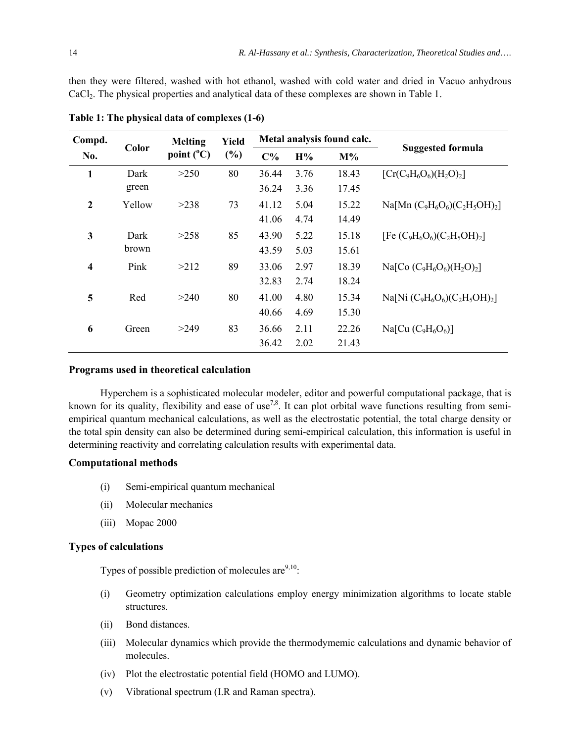then they were filtered, washed with hot ethanol, washed with cold water and dried in Vacuo anhydrous CaCl<sub>2</sub>. The physical properties and analytical data of these complexes are shown in Table 1.

| Compd.                  |               | <b>Melting</b>      | Yield |                |              | Metal analysis found calc. |                                   |
|-------------------------|---------------|---------------------|-------|----------------|--------------|----------------------------|-----------------------------------|
| No.                     | Color         | point $(^{\circ}C)$ | (%)   | $C\%$          | H%           | $M\%$                      | <b>Suggested formula</b>          |
| 1                       | Dark<br>green | >250                | 80    | 36.44<br>36.24 | 3.76<br>3.36 | 18.43<br>17.45             | $[Cr(C_9H_6O_6)(H_2O)_2]$         |
| $\boldsymbol{2}$        | Yellow        | >238                | 73    | 41.12<br>41.06 | 5.04<br>4.74 | 15.22<br>14.49             | Na[Mn $(C_9H_6O_6)(C_2H_5OH)_2$ ] |
| 3                       | Dark<br>brown | >258                | 85    | 43.90<br>43.59 | 5.22<br>5.03 | 15.18<br>15.61             | [Fe $(C_9H_6O_6)(C_2H_5OH)_2$ ]   |
| $\overline{\mathbf{4}}$ | Pink          | >212                | 89    | 33.06<br>32.83 | 2.97<br>2.74 | 18.39<br>18.24             | Na[Co $(C_9H_6O_6)(H_2O)_2$ ]     |
| 5                       | Red           | >240                | 80    | 41.00<br>40.66 | 4.80<br>4.69 | 15.34<br>15.30             | Na[Ni $(C_9H_6O_6)(C_2H_5OH)_2$ ] |
| 6                       | Green         | >249                | 83    | 36.66<br>36.42 | 2.11<br>2.02 | 22.26<br>21.43             | $Na[Cu(C9H6O6)]$                  |

**Table 1: The physical data of complexes (1-6)** 

### **Programs used in theoretical calculation**

Hyperchem is a sophisticated molecular modeler, editor and powerful computational package, that is known for its quality, flexibility and ease of use<sup>7,8</sup>. It can plot orbital wave functions resulting from semiempirical quantum mechanical calculations, as well as the electrostatic potential, the total charge density or the total spin density can also be determined during semi-empirical calculation, this information is useful in determining reactivity and correlating calculation results with experimental data.

#### **Computational methods**

- (i) Semi-empirical quantum mechanical
- (ii) Molecular mechanics
- (iii) Mopac 2000

### **Types of calculations**

Types of possible prediction of molecules are  $9,10$ :

- (i) Geometry optimization calculations employ energy minimization algorithms to locate stable structures.
- (ii) Bond distances.
- (iii) Molecular dynamics which provide the thermodymemic calculations and dynamic behavior of molecules.
- (iv) Plot the electrostatic potential field (HOMO and LUMO).
- (v) Vibrational spectrum (I.R and Raman spectra).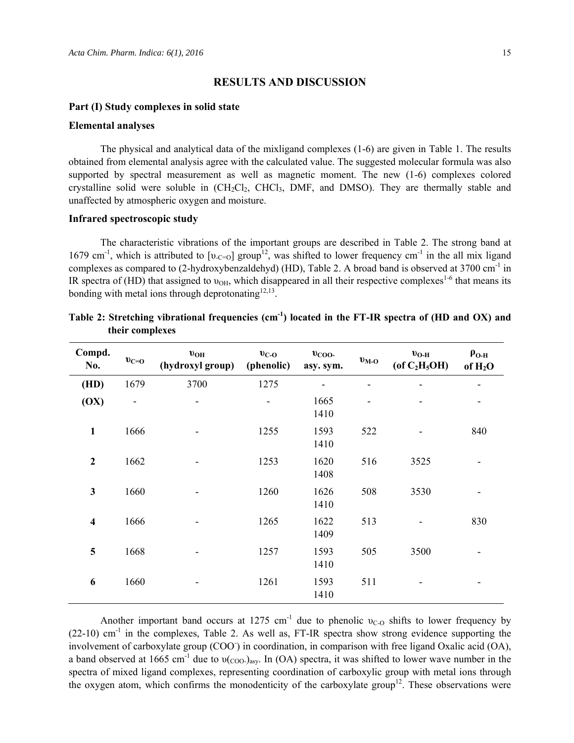### **RESULTS AND DISCUSSION**

#### **Part (I) Study complexes in solid state**

#### **Elemental analyses**

The physical and analytical data of the mixligand complexes (1-6) are given in Table 1. The results obtained from elemental analysis agree with the calculated value. The suggested molecular formula was also supported by spectral measurement as well as magnetic moment. The new  $(1-6)$  complexes colored crystalline solid were soluble in  $(CH_2Cl_2, CHCl_3, DMF, and DMSO)$ . They are thermally stable and unaffected by atmospheric oxygen and moisture.

#### **Infrared spectroscopic study**

The characteristic vibrations of the important groups are described in Table 2. The strong band at 1679 cm<sup>-1</sup>, which is attributed to  $[v_{-C=0}]$  group<sup>12</sup>, was shifted to lower frequency cm<sup>-1</sup> in the all mix ligand complexes as compared to (2-hydroxybenzaldehyd) (HD), Table 2. A broad band is observed at 3700 cm<sup>-1</sup> in IR spectra of (HD) that assigned to  $v_{OH}$ , which disappeared in all their respective complexes<sup>1-6</sup> that means its bonding with metal ions through deprotonating  $12,13$ .

| Compd.<br>No.           | $v_{C=O}$ | $v_{OH}$<br>(hydroxyl group) | $v_{C-O}$<br>(phenolic)  | $v_{\rm COO}$<br>asy. sym. | $v_{M-O}$ | $\mathbf{v}_{\mathbf{O-H}}$<br>(of C <sub>2</sub> H <sub>5</sub> OH) | $\rho_{O-H}$<br>of $H_2O$ |
|-------------------------|-----------|------------------------------|--------------------------|----------------------------|-----------|----------------------------------------------------------------------|---------------------------|
| (HD)                    | 1679      | 3700                         | 1275                     |                            |           |                                                                      |                           |
| (OX)                    | ۰         | -                            | $\overline{\phantom{a}}$ | 1665<br>1410               |           |                                                                      | ٠                         |
| $\mathbf{1}$            | 1666      |                              | 1255                     | 1593<br>1410               | 522       |                                                                      | 840                       |
| $\mathbf{2}$            | 1662      |                              | 1253                     | 1620<br>1408               | 516       | 3525                                                                 |                           |
| $\mathbf{3}$            | 1660      |                              | 1260                     | 1626<br>1410               | 508       | 3530                                                                 |                           |
| $\overline{\mathbf{4}}$ | 1666      |                              | 1265                     | 1622<br>1409               | 513       |                                                                      | 830                       |
| 5                       | 1668      |                              | 1257                     | 1593<br>1410               | 505       | 3500                                                                 |                           |
| 6                       | 1660      |                              | 1261                     | 1593<br>1410               | 511       |                                                                      |                           |

|                 | Table 2: Stretching vibrational frequencies $(cm-1)$ located in the FT-IR spectra of (HD and OX) and |  |  |
|-----------------|------------------------------------------------------------------------------------------------------|--|--|
| their complexes |                                                                                                      |  |  |

Another important band occurs at 1275 cm<sup>-1</sup> due to phenolic  $v_{C_O}$  shifts to lower frequency by  $(22-10)$  cm<sup>-1</sup> in the complexes, Table 2. As well as, FT-IR spectra show strong evidence supporting the involvement of carboxylate group (COO ) in coordination, in comparison with free ligand Oxalic acid (OA), a band observed at 1665 cm<sup>-1</sup> due to  $v_{\text{COO-}}$ )<sub>asy</sub>. In (OA) spectra, it was shifted to lower wave number in the spectra of mixed ligand complexes, representing coordination of carboxylic group with metal ions through the oxygen atom, which confirms the monodenticity of the carboxylate group<sup>12</sup>. These observations were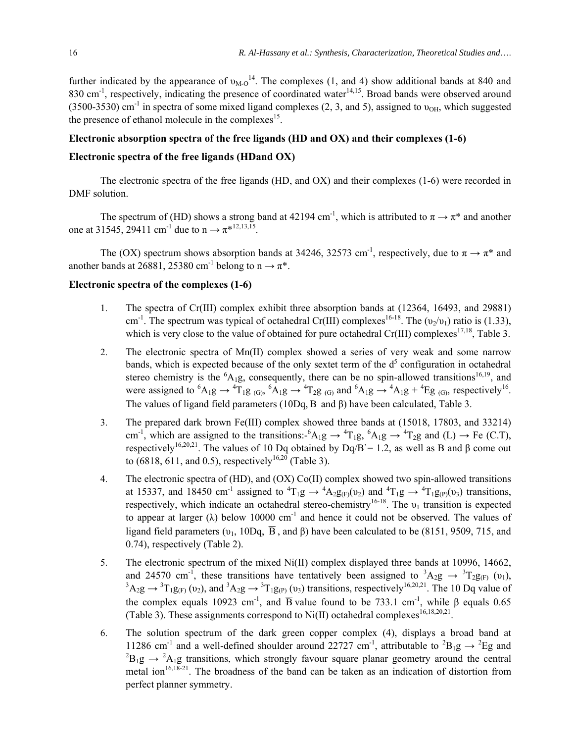further indicated by the appearance of  $v_{M-O}^{14}$ . The complexes (1, and 4) show additional bands at 840 and 830 cm<sup>-1</sup>, respectively, indicating the presence of coordinated water<sup>14,15</sup>. Broad bands were observed around  $(3500-3530)$  cm<sup>-1</sup> in spectra of some mixed ligand complexes (2, 3, and 5), assigned to  $v_{OH}$ , which suggested the presence of ethanol molecule in the complexes<sup>15</sup>.

#### **Electronic absorption spectra of the free ligands (HD and OX) and their complexes (1-6)**

### **Electronic spectra of the free ligands (HDand OX)**

The electronic spectra of the free ligands (HD, and OX) and their complexes (1-6) were recorded in DMF solution.

The spectrum of (HD) shows a strong band at 42194 cm<sup>-1</sup>, which is attributed to  $\pi \to \pi^*$  and another one at 31545, 29411 cm<sup>-1</sup> due to  $n \to \pi^{*12,13,15}$ .

The (OX) spectrum shows absorption bands at 34246, 32573 cm<sup>-1</sup>, respectively, due to  $\pi \to \pi^*$  and another bands at 26881, 25380 cm<sup>-1</sup> belong to  $n \rightarrow \pi^*$ .

### **Electronic spectra of the complexes (1-6)**

- 1. The spectra of Cr(III) complex exhibit three absorption bands at (12364, 16493, and 29881) cm<sup>-1</sup>. The spectrum was typical of octahedral Cr(III) complexes<sup>16-18</sup>. The  $(v_2/v_1)$  ratio is (1.33), which is very close to the value of obtained for pure octahedral  $Cr(III)$  complexes<sup>17,18</sup>, Table 3.
- 2. The electronic spectra of Mn(II) complex showed a series of very weak and some narrow bands, which is expected because of the only sextet term of the  $d<sup>5</sup>$  configuration in octahedral stereo chemistry is the  ${}^{6}A_{1}g$ , consequently, there can be no spin-allowed transitions<sup>16,19</sup>, and were assigned to  ${}^{6}A_{1}g \rightarrow {}^{4}T_{1}g_{(G)}$ ,  ${}^{6}A_{1}g \rightarrow {}^{4}T_{2}g_{(G)}$  and  ${}^{6}A_{1}g \rightarrow {}^{4}A_{1}g + {}^{4}Eg_{(G)}$ , respectively<sup>16</sup>. The values of ligand field parameters (10Dq,  $\overline{B}$  and  $\beta$ ) have been calculated, Table 3.
- 3. The prepared dark brown Fe(III) complex showed three bands at (15018, 17803, and 33214) cm<sup>-1</sup>, which are assigned to the transitions:  ${}^6A_1g \rightarrow {}^4T_1g$ ,  ${}^6A_1g \rightarrow {}^4T_2g$  and (L)  $\rightarrow$  Fe (C.T), respectively<sup>16,20,21</sup>. The values of 10 Dq obtained by Dq/B`= 1.2, as well as B and β come out to (6818, 611, and 0.5), respectively<sup>16,20</sup> (Table 3).
- 4. The electronic spectra of (HD), and (OX) Co(II) complex showed two spin-allowed transitions at 15337, and 18450 cm<sup>-1</sup> assigned to  ${}^4T_1g \rightarrow {}^4A_2g_{(F)}(v_2)$  and  ${}^4T_1g \rightarrow {}^4T_1g_{(P)}(v_3)$  transitions, respectively, which indicate an octahedral stereo-chemistry<sup>16-18</sup>. The  $v_1$  transition is expected to appear at larger ( $\lambda$ ) below 10000 cm<sup>-1</sup> and hence it could not be observed. The values of ligand field parameters ( $υ_1$ , 10Dq,  $\overline{B}$ , and β) have been calculated to be (8151, 9509, 715, and 0.74), respectively (Table 2).
- 5. The electronic spectrum of the mixed Ni(II) complex displayed three bands at 10996, 14662, and 24570 cm<sup>-1</sup>, these transitions have tentatively been assigned to  ${}^3A_2g \rightarrow {}^3T_2g_{(F)}$  (v<sub>1</sub>),  ${}^{3}A_2g \rightarrow {}^{3}T_1g_{(F)}(v_2)$ , and  ${}^{3}A_2g \rightarrow {}^{3}T_1g_{(P)}(v_3)$  transitions, respectively  ${}^{16,20,21}$ . The 10 Dq value of the complex equals 10923 cm<sup>-1</sup>, and  $\overline{B}$  value found to be 733.1 cm<sup>-1</sup>, while β equals 0.65 (Table 3). These assignments correspond to Ni(II) octahedral complexes<sup>16,18,20,21</sup>.
- 6. The solution spectrum of the dark green copper complex (4), displays a broad band at 11286 cm<sup>-1</sup> and a well-defined shoulder around 22727 cm<sup>-1</sup>, attributable to <sup>2</sup>B<sub>1</sub>g  $\rightarrow$  <sup>2</sup>Eg and  ${}^{2}B_{1}g \rightarrow {}^{2}A_{1}g$  transitions, which strongly favour square planar geometry around the central metal ion<sup>16,18-21</sup>. The broadness of the band can be taken as an indication of distortion from perfect planner symmetry.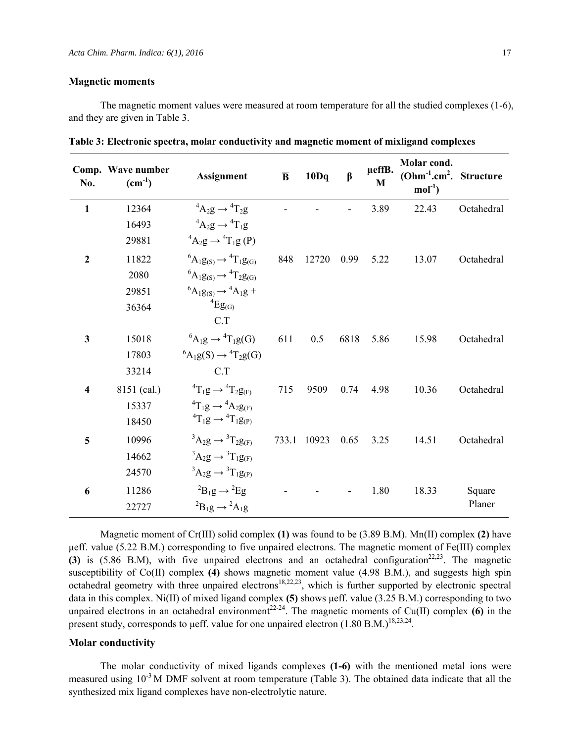#### **Magnetic moments**

The magnetic moment values were measured at room temperature for all the studied complexes (1-6), and they are given in Table 3.

| No.          | Comp. Wave number<br>$(cm^{-1})$ | <b>Assignment</b>                             | $\overline{B}$ | 10Dq  | $\beta$ | µeffB.<br>M | Molar cond.<br>$(Ohm^{-1}.cm^2.$ Structure<br>$mol-1$ |            |
|--------------|----------------------------------|-----------------------------------------------|----------------|-------|---------|-------------|-------------------------------------------------------|------------|
| $\mathbf{1}$ | 12364                            | ${}^4A_2g \rightarrow {}^4T_2g$               |                |       |         | 3.89        | 22.43                                                 | Octahedral |
|              | 16493                            | ${}^4A_2g \rightarrow {}^4T_1g$               |                |       |         |             |                                                       |            |
|              | 29881                            | ${}^{4}A_2g \rightarrow {}^{4}T_1g(P)$        |                |       |         |             |                                                       |            |
| $\mathbf{2}$ | 11822                            | ${}^6A_1g_{(S)} \rightarrow {}^4T_1g_{(G)}$   | 848            | 12720 | 0.99    | 5.22        | 13.07                                                 | Octahedral |
|              | 2080                             | ${}^6A_1g_{(S)} \rightarrow {}^4T_2g_{(G)}$   |                |       |         |             |                                                       |            |
|              | 29851                            | ${}^6A_1g_{(S)} \rightarrow {}^4A_1g +$       |                |       |         |             |                                                       |            |
|              | 36364                            | ${}^4Eg_{(G)}$                                |                |       |         |             |                                                       |            |
|              |                                  | C.T                                           |                |       |         |             |                                                       |            |
| 3            | 15018                            | ${}^{6}A_1g \rightarrow {}^{4}T_1g(G)$        | 611            | 0.5   | 6818    | 5.86        | 15.98                                                 | Octahedral |
|              | 17803                            | ${}^{6}A_1g(S) \rightarrow {}^{4}T_2g(G)$     |                |       |         |             |                                                       |            |
|              | 33214                            | C.T                                           |                |       |         |             |                                                       |            |
| 4            | 8151 (cal.)                      | ${}^{4}T_{1}g \rightarrow {}^{4}T_{2}g_{(F)}$ | 715            | 9509  | 0.74    | 4.98        | 10.36                                                 | Octahedral |
|              | 15337                            | ${}^{4}T_{1}g \rightarrow {}^{4}A_{2}g_{(F)}$ |                |       |         |             |                                                       |            |
|              | 18450                            | ${}^{4}T_{1}g \rightarrow {}^{4}T_{1}g_{(P)}$ |                |       |         |             |                                                       |            |
| 5            | 10996                            | ${}^3A_2g \rightarrow {}^3T_2g_{(F)}$         | 733.1          | 10923 | 0.65    | 3.25        | 14.51                                                 | Octahedral |
|              | 14662                            | ${}^3A_2g \rightarrow {}^3T_1g_{(F)}$         |                |       |         |             |                                                       |            |
|              | 24570                            | ${}^3A_2g \rightarrow {}^3T_1g_{(P)}$         |                |       |         |             |                                                       |            |
| 6            | 11286                            | ${}^{2}B_{1}g \rightarrow {}^{2}Eg$           |                |       |         | 1.80        | 18.33                                                 | Square     |
|              | 22727                            | ${}^{2}B_{1}g \rightarrow {}^{2}A_{1}g$       |                |       |         |             |                                                       | Planer     |

**Table 3: Electronic spectra, molar conductivity and magnetic moment of mixligand complexes**

Magnetic moment of Cr(III) solid complex **(1)** was found to be (3.89 B.M). Mn(II) complex **(2)** have μeff. value (5.22 B.M.) corresponding to five unpaired electrons. The magnetic moment of Fe(III) complex  $(3)$  is  $(5.86 \text{ B.M})$ , with five unpaired electrons and an octahedral configuration<sup>22,23</sup>. The magnetic susceptibility of Co(II) complex **(4)** shows magnetic moment value (4.98 B.M.), and suggests high spin octahedral geometry with three unpaired electrons<sup>18,22,23</sup>, which is further supported by electronic spectral data in this complex. Ni(II) of mixed ligand complex **(5)** shows μeff. value (3.25 B.M.) corresponding to two unpaired electrons in an octahedral environment<sup>22-24</sup>. The magnetic moments of Cu(II) complex **(6)** in the present study, corresponds to µeff. value for one unpaired electron  $(1.80 \text{ B.M.})^{18,23,24}$ .

#### **Molar conductivity**

The molar conductivity of mixed ligands complexes **(1-6)** with the mentioned metal ions were measured using  $10^{-3}$  M DMF solvent at room temperature (Table 3). The obtained data indicate that all the synthesized mix ligand complexes have non-electrolytic nature.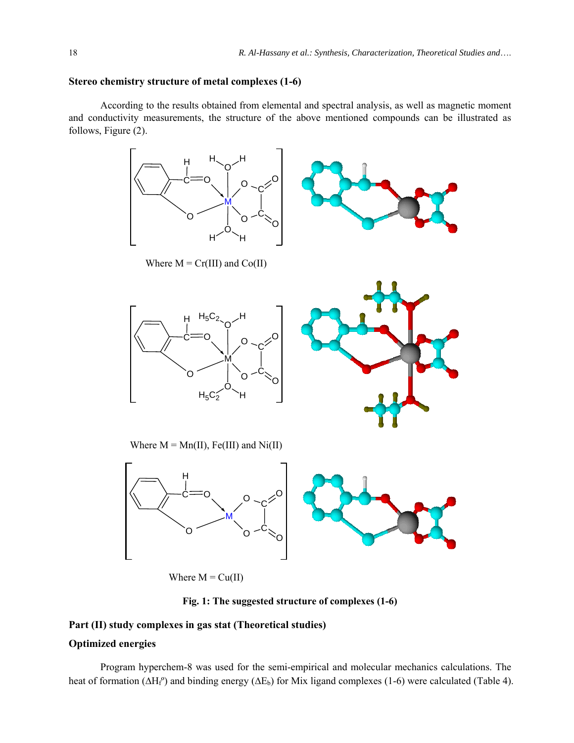### **Stereo chemistry structure of metal complexes (1-6)**

According to the results obtained from elemental and spectral analysis, as well as magnetic moment and conductivity measurements, the structure of the above mentioned compounds can be illustrated as follows, Figure (2).



Where  $M = Cu(II)$ 

**Fig. 1: The suggested structure of complexes (1-6)**

# **Part (II) study complexes in gas stat (Theoretical studies)**

# **Optimized energies**

Program hyperchem-8 was used for the semi-empirical and molecular mechanics calculations. The heat of formation ( $\Delta H_f^{\circ}$ ) and binding energy ( $\Delta E_b$ ) for Mix ligand complexes (1-6) were calculated (Table 4).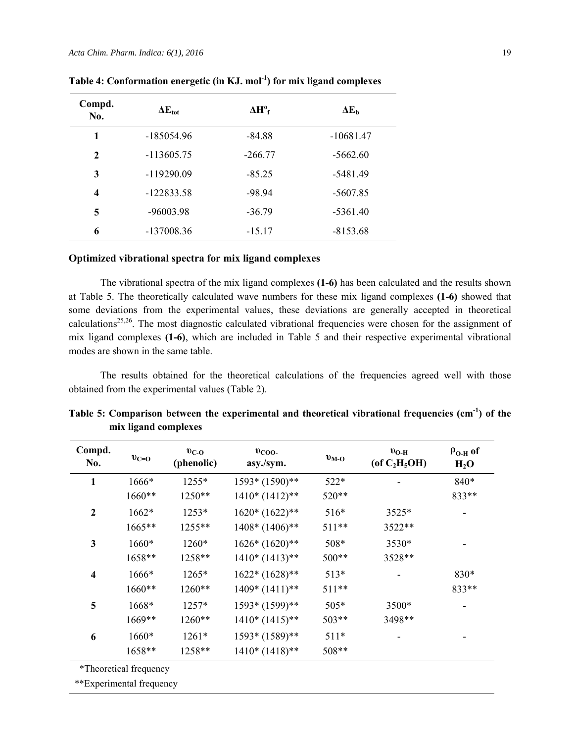| Compd.<br>No.           | $\Delta E_{\rm tot}$ | $\Delta H^{\circ}$ <sub>f</sub> | $\Delta E_b$ |
|-------------------------|----------------------|---------------------------------|--------------|
| 1                       | $-185054.96$         | $-84.88$                        | $-10681.47$  |
| $\mathbf{2}$            | $-113605.75$         | $-266.77$                       | $-5662.60$   |
| 3                       | $-119290.09$         | $-85.25$                        | $-5481.49$   |
| $\overline{\mathbf{4}}$ | $-122833.58$         | $-98.94$                        | $-5607.85$   |
| 5                       | $-96003.98$          | $-36.79$                        | $-5361.40$   |
| 6                       | $-137008.36$         | $-15.17$                        | $-8153.68$   |

**Table 4: Conformation energetic (in KJ. mol-1) for mix ligand complexes** 

# **Optimized vibrational spectra for mix ligand complexes**

The vibrational spectra of the mix ligand complexes **(1-6)** has been calculated and the results shown at Table 5. The theoretically calculated wave numbers for these mix ligand complexes **(1-6)** showed that some deviations from the experimental values, these deviations are generally accepted in theoretical calculations<sup>25,26</sup>. The most diagnostic calculated vibrational frequencies were chosen for the assignment of mix ligand complexes **(1-6)**, which are included in Table 5 and their respective experimental vibrational modes are shown in the same table.

The results obtained for the theoretical calculations of the frequencies agreed well with those obtained from the experimental values (Table 2).

| Compd.<br>No.           | $v_{C=0}$              | $v_{C-O}$<br>(phenolic) | $v_{\rm COO}$<br>asy./sym. | $v_{M-O}$ | $v_{O-H}$<br>(of $C_2H_5OH$ ) | $\rho_{O-H}$ of<br>$H_2O$ |
|-------------------------|------------------------|-------------------------|----------------------------|-----------|-------------------------------|---------------------------|
| 1                       | 1666*                  | $1255*$                 | 1593* (1590)**             | 522*      |                               | 840*                      |
|                         | 1660**                 | 1250**                  | $1410*(1412)*$             | 520**     |                               | 833**                     |
| $\overline{2}$          | 1662*                  | $1253*$                 | $1620*(1622)*$             | $516*$    | $3525*$                       |                           |
|                         | 1665**                 | 1255**                  | $1408*(1406)*$             | 511**     | 3522**                        |                           |
| 3                       | 1660*                  | 1260*                   | $1626*(1620)*$             | 508*      | 3530*                         |                           |
|                         | 1658**                 | 1258**                  | $1410*(1413)*$             | 500**     | 3528**                        |                           |
| $\overline{\mathbf{4}}$ | 1666*                  | 1265*                   | $1622*(1628)*$             | $513*$    |                               | 830*                      |
|                         | $1660**$               | 1260**                  | $1409*(1411)**$            | 511**     |                               | 833**                     |
| 5                       | 1668*                  | 1257*                   | 1593* (1599)**             | $505*$    | 3500*                         |                           |
|                         | 1669**                 | $1260**$                | $1410*(1415)*$             | 503**     | 3498**                        |                           |
| 6                       | 1660*                  | $1261*$                 | 1593* (1589)**             | $511*$    |                               |                           |
|                         | 1658**                 | 1258**                  | $1410*(1418)*$             | 508**     |                               |                           |
|                         | *Theoretical frequency |                         |                            |           |                               |                           |

Table 5: Comparison between the experimental and theoretical vibrational frequencies (cm<sup>-1</sup>) of the **mix ligand complexes** 

\*\*Experimental frequency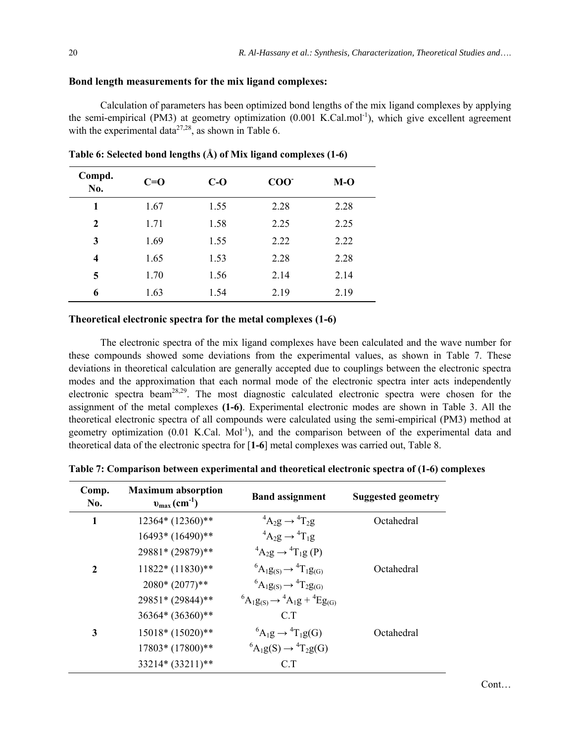### **Bond length measurements for the mix ligand complexes:**

Calculation of parameters has been optimized bond lengths of the mix ligand complexes by applying the semi-empirical (PM3) at geometry optimization  $(0.001 \text{ K.Cal.mol}^{-1})$ , which give excellent agreement with the experimental data<sup>27,28</sup>, as shown in Table 6.

| Compd.<br>No. | $C=O$ | $C-O$ | COO <sup>2</sup> | $M-O$ |
|---------------|-------|-------|------------------|-------|
| 1             | 1.67  | 1.55  | 2.28             | 2.28  |
| $\mathbf{2}$  | 1.71  | 1.58  | 2.25             | 2.25  |
| 3             | 1.69  | 1.55  | 2.22             | 2.22  |
| 4             | 1.65  | 1.53  | 2.28             | 2.28  |
| 5             | 1.70  | 1.56  | 2.14             | 2.14  |
| 6             | 1.63  | 1.54  | 2.19             | 2.19  |

**Table 6: Selected bond lengths (Å) of Mix ligand complexes (1-6)** 

#### **Theoretical electronic spectra for the metal complexes (1-6)**

The electronic spectra of the mix ligand complexes have been calculated and the wave number for these compounds showed some deviations from the experimental values, as shown in Table 7. These deviations in theoretical calculation are generally accepted due to couplings between the electronic spectra modes and the approximation that each normal mode of the electronic spectra inter acts independently electronic spectra beam<sup>28,29</sup>. The most diagnostic calculated electronic spectra were chosen for the assignment of the metal complexes **(1-6)**. Experimental electronic modes are shown in Table 3. All the theoretical electronic spectra of all compounds were calculated using the semi-empirical (PM3) method at geometry optimization  $(0.01 \text{ K.Cal. Mol}^{-1})$ , and the comparison between of the experimental data and theoretical data of the electronic spectra for [**1-6**] metal complexes was carried out, Table 8.

**Table 7: Comparison between experimental and theoretical electronic spectra of (1-6) complexes** 

| Comp.<br>No. | <b>Maximum absorption</b><br>$v_{\text{max}}$ (cm <sup>-1</sup> ) | <b>Band assignment</b>                                     | <b>Suggested geometry</b> |
|--------------|-------------------------------------------------------------------|------------------------------------------------------------|---------------------------|
| 1            | 12364* (12360)**                                                  | ${}^4A_2g \rightarrow {}^4T_2g$                            | Octahedral                |
|              | 16493* (16490)**                                                  | ${}^4A_2g \rightarrow {}^4T_1g$                            |                           |
|              | 29881* (29879)**                                                  | ${}^4A_2g \rightarrow {}^4T_1g(P)$                         |                           |
| $\mathbf{2}$ | $11822*(11830)*$                                                  | ${}^{6}A_1g_{(S)} \rightarrow {}^{4}T_1g_{(G)}$            | Octahedral                |
|              | $2080*(2077)**$                                                   | ${}^6A_1g_{(S)} \rightarrow {}^4T_2g_{(G)}$                |                           |
|              | 29851* (29844)**                                                  | ${}^{6}A_1g_{(S)} \rightarrow {}^{4}A_1g + {}^{4}Eg_{(G)}$ |                           |
|              | 36364* (36360)**                                                  | C T                                                        |                           |
| 3            | 15018* (15020)**                                                  | ${}^{6}A_1g \rightarrow {}^{4}T_1g(G)$                     | Octahedral                |
|              | 17803* (17800)**                                                  | ${}^6A_1g(S) \rightarrow {}^4T_2g(G)$                      |                           |
|              | 33214* (33211)**                                                  | C.T                                                        |                           |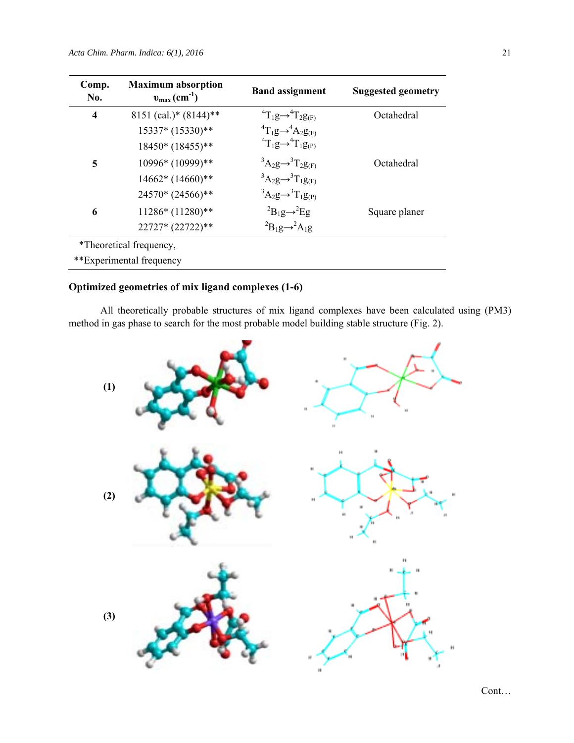| Comp.<br>No.            | <b>Maximum absorption</b><br>$v_{\text{max}}$ (cm <sup>-1</sup> ) | <b>Band assignment</b>                        | <b>Suggested geometry</b> |
|-------------------------|-------------------------------------------------------------------|-----------------------------------------------|---------------------------|
| $\overline{\mathbf{4}}$ | 8151 (cal.)* $(8144)$ **                                          | ${}^{4}T_{1}g \rightarrow {}^{4}T_{2}g_{(F)}$ | Octahedral                |
|                         | 15337* (15330)**                                                  | ${}^4T_1g \rightarrow {}^4A_2g_{(F)}$         |                           |
|                         | 18450* (18455)**                                                  | ${}^4T_1g \rightarrow {}^4T_1g_{(P)}$         |                           |
| 5                       | 10996* (10999)**                                                  | ${}^3A_2g \rightarrow {}^3T_2g_{(F)}$         | Octahedral                |
|                         | 14662* (14660)**                                                  | ${}^3A_2g \rightarrow {}^3T_1g_{(F)}$         |                           |
|                         | 24570* (24566)**                                                  | ${}^3A_2g \rightarrow {}^3T_1g_{(P)}$         |                           |
| 6                       | 11286* (11280)**                                                  | ${}^{2}B_{1}g \rightarrow {}^{2}Eg$           | Square planer             |
|                         | 22727* (22722)**                                                  | ${}^2B_1g \rightarrow {}^2A_1g$               |                           |
|                         | *Theoretical frequency,                                           |                                               |                           |
|                         | **Experimental frequency                                          |                                               |                           |

# **Optimized geometries of mix ligand complexes (1-6)**

All theoretically probable structures of mix ligand complexes have been calculated using (PM3) method in gas phase to search for the most probable model building stable structure (Fig. 2).



Cont…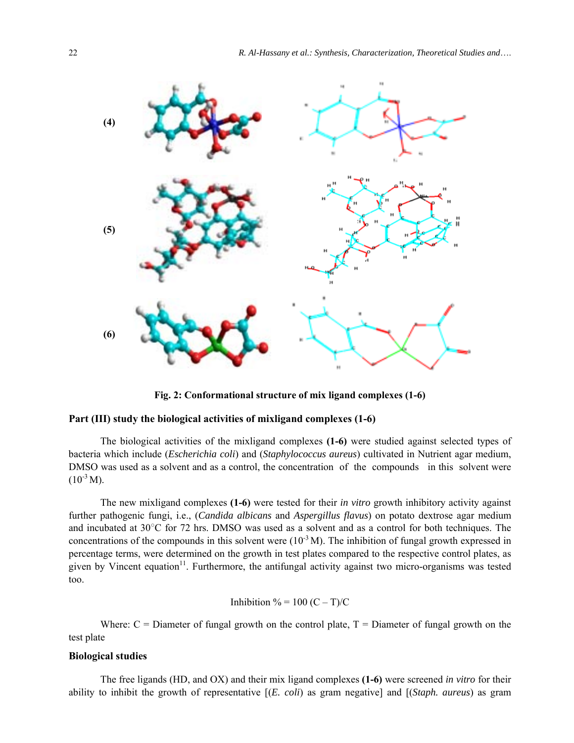

**Fig. 2: Conformational structure of mix ligand complexes (1-6)**

### **Part (III) study the biological activities of mixligand complexes (1-6)**

The biological activities of the mixligand complexes **(1-6)** were studied against selected types of bacteria which include (*Escherichia coli*) and (*Staphylococcus aureus*) cultivated in Nutrient agar medium, DMSO was used as a solvent and as a control, the concentration of the compounds in this solvent were  $(10^{-3} M).$ 

The new mixligand complexes **(1-6)** were tested for their *in vitro* growth inhibitory activity against further pathogenic fungi, i.e., (*Candida albicans* and *Aspergillus flavus*) on potato dextrose agar medium and incubated at 30°C for 72 hrs. DMSO was used as a solvent and as a control for both techniques. The concentrations of the compounds in this solvent were  $(10^{-3} M)$ . The inhibition of fungal growth expressed in percentage terms, were determined on the growth in test plates compared to the respective control plates, as given by Vincent equation<sup>11</sup>. Furthermore, the antifungal activity against two micro-organisms was tested too.

Inhibition % = 
$$
100 (C - T)/C
$$

Where:  $C =$  Diameter of fungal growth on the control plate,  $T =$  Diameter of fungal growth on the test plate

# **Biological studies**

The free ligands (HD, and OX) and their mix ligand complexes **(1-6)** were screened *in vitro* for their ability to inhibit the growth of representative [(*E. coli*) as gram negative] and [(*Staph. aureus*) as gram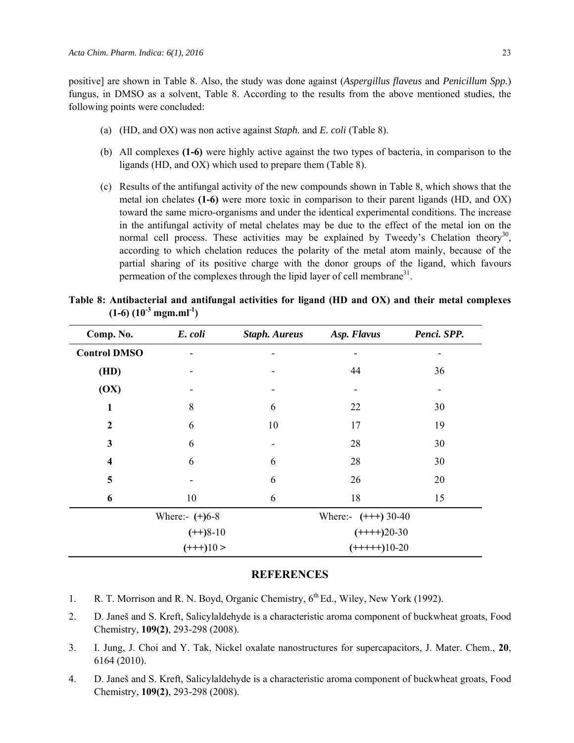positive] are shown in Table 8. Also, the study was done against (*Aspergillus flaveus* and *Penicillum Spp.*) fungus, in DMSO as a solvent, Table 8. According to the results from the above mentioned studies, the following points were concluded:

- (a) (HD, and OX) was non active against *Staph.* and *E. coli* (Table 8).
- (b) All complexes **(1-6)** were highly active against the two types of bacteria, in comparison to the ligands (HD, and OX) which used to prepare them (Table 8).
- (c) Results of the antifungal activity of the new compounds shown in Table 8, which shows that the metal ion chelates **(1-6)** were more toxic in comparison to their parent ligands (HD, and OX) toward the same micro-organisms and under the identical experimental conditions. The increase in the antifungal activity of metal chelates may be due to the effect of the metal ion on the normal cell process. These activities may be explained by Tweedy's Chelation theory<sup>30</sup>, according to which chelation reduces the polarity of the metal atom mainly, because of the partial sharing of its positive charge with the donor groups of the ligand, which favours permeation of the complexes through the lipid layer of cell membrane<sup>31</sup>.

| Comp. No.               | E. coli          | <b>Staph. Aureus</b> | Asp. Flavus           | Penci. SPP.              |
|-------------------------|------------------|----------------------|-----------------------|--------------------------|
| <b>Control DMSO</b>     |                  |                      |                       |                          |
| (HD)                    |                  |                      | 44                    | 36                       |
| (OX)                    |                  |                      | ۰                     | $\overline{\phantom{a}}$ |
| 1                       | 8                | 6                    | 22                    | 30                       |
| $\mathbf{2}$            | 6                | 10                   | 17                    | 19                       |
| 3                       | 6                |                      | 28                    | 30                       |
| $\overline{\mathbf{4}}$ | 6                | 6                    | 28                    | 30                       |
| 5                       |                  | 6                    | 26                    | 20                       |
| 6                       | 10               | 6                    | 18                    | 15                       |
|                         | Where:- $(+)6-8$ |                      | Where:- $(+++) 30-40$ |                          |
|                         | $(++)8-10$       |                      | $(++++)20-30$         |                          |
|                         | $(+++)10>$       |                      | $(+++++)10-20$        |                          |

**Table 8: Antibacterial and antifungal activities for ligand (HD and OX) and their metal complexes**   $(1-6)$   $(10^{-3}$  mgm.ml<sup>-1</sup>)

# **REFERENCES**

- 1. R. T. Morrison and R. N. Boyd, Organic Chemistry, 6<sup>th</sup> Ed., Wiley, New York (1992).
- 2. D. Janeš and S. Kreft, Salicylaldehyde is a characteristic aroma component of buckwheat groats, Food Chemistry, **109(2)**, 293-298 (2008).
- 3. I. Jung, J. Choi and Y. Tak, Nickel oxalate nanostructures for supercapacitors, J. Mater. Chem., **20**, 6164 (2010).
- 4. D. Janeš and S. Kreft, Salicylaldehyde is a characteristic aroma component of buckwheat groats, Food Chemistry, **109(2)**, 293-298 (2008).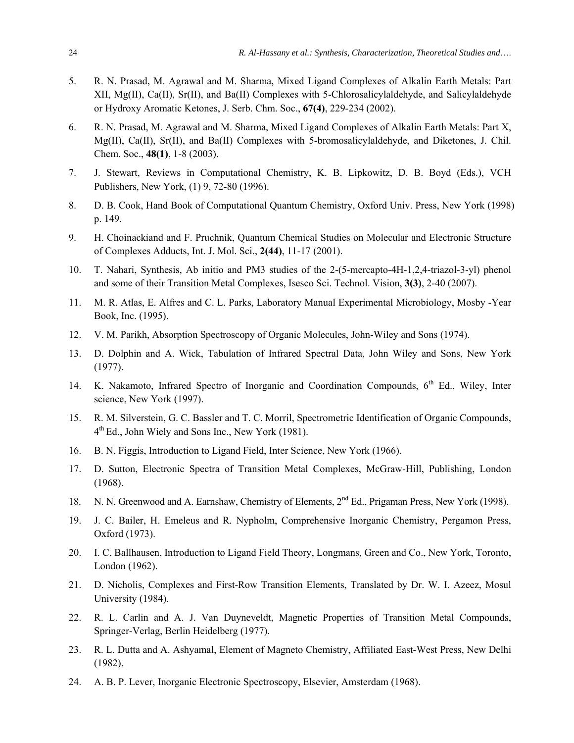- 5. R. N. Prasad, M. Agrawal and M. Sharma, Mixed Ligand Complexes of Alkalin Earth Metals: Part XII, Mg(II), Ca(II), Sr(II), and Ba(II) Complexes with 5-Chlorosalicylaldehyde, and Salicylaldehyde or Hydroxy Aromatic Ketones, J. Serb. Chm. Soc., **67(4)**, 229-234 (2002).
- 6. R. N. Prasad, M. Agrawal and M. Sharma, Mixed Ligand Complexes of Alkalin Earth Metals: Part X, Mg(II), Ca(II), Sr(II), and Ba(II) Complexes with 5-bromosalicylaldehyde, and Diketones, J. Chil. Chem. Soc., **48(1)**, 1-8 (2003).
- 7. J. Stewart, Reviews in Computational Chemistry, K. B. Lipkowitz, D. B. Boyd (Eds.), VCH Publishers, New York, (1) 9, 72-80 (1996).
- 8. D. B. Cook, Hand Book of Computational Quantum Chemistry, Oxford Univ. Press, New York (1998) p. 149.
- 9. H. Choinackiand and F. Pruchnik, Quantum Chemical Studies on Molecular and Electronic Structure of Complexes Adducts, Int. J. Mol. Sci., **2(44)**, 11-17 (2001).
- 10. T. Nahari, Synthesis, Ab initio and PM3 studies of the 2-(5-mercapto-4H-1,2,4-triazol-3-yl) phenol and some of their Transition Metal Complexes, Isesco Sci. Technol. Vision, **3(3)**, 2-40 (2007).
- 11. M. R. Atlas, E. Alfres and C. L. Parks, Laboratory Manual Experimental Microbiology, Mosby -Year Book, Inc. (1995).
- 12. V. M. Parikh, Absorption Spectroscopy of Organic Molecules, John-Wiley and Sons (1974).
- 13. D. Dolphin and A. Wick, Tabulation of Infrared Spectral Data, John Wiley and Sons, New York (1977).
- 14. K. Nakamoto, Infrared Spectro of Inorganic and Coordination Compounds, 6<sup>th</sup> Ed., Wiley, Inter science, New York (1997).
- 15. R. M. Silverstein, G. C. Bassler and T. C. Morril, Spectrometric Identification of Organic Compounds, 4th Ed., John Wiely and Sons Inc., New York (1981).
- 16. B. N. Figgis, Introduction to Ligand Field, Inter Science, New York (1966).
- 17. D. Sutton, Electronic Spectra of Transition Metal Complexes, McGraw-Hill, Publishing, London (1968).
- 18. N. N. Greenwood and A. Earnshaw, Chemistry of Elements, 2<sup>nd</sup> Ed., Prigaman Press, New York (1998).
- 19. J. C. Bailer, H. Emeleus and R. Nypholm, Comprehensive Inorganic Chemistry, Pergamon Press, Oxford (1973).
- 20. I. C. Ballhausen, Introduction to Ligand Field Theory, Longmans, Green and Co., New York, Toronto, London (1962).
- 21. D. Nicholis, Complexes and First-Row Transition Elements, Translated by Dr. W. I. Azeez, Mosul University (1984).
- 22. R. L. Carlin and A. J. Van Duyneveldt, Magnetic Properties of Transition Metal Compounds, Springer-Verlag, Berlin Heidelberg (1977).
- 23. R. L. Dutta and A. Ashyamal, Element of Magneto Chemistry, Affiliated East-West Press, New Delhi (1982).
- 24. A. B. P. Lever, Inorganic Electronic Spectroscopy, Elsevier, Amsterdam (1968).